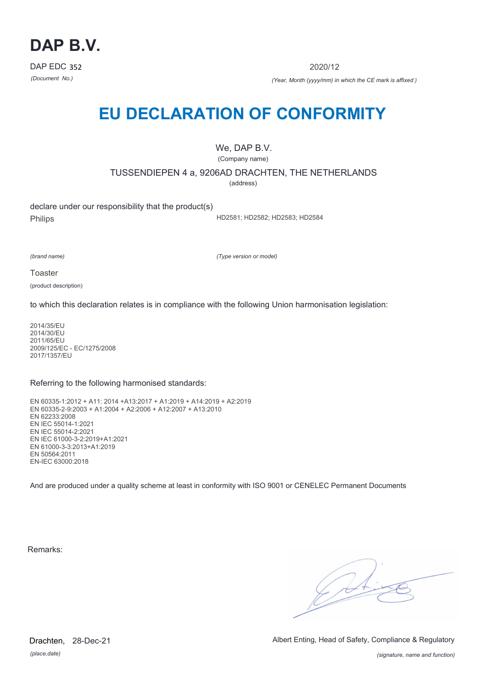

2020/12

*(Document No.) (Year, Month (yyyy/mm) in which the CE mark is affixed )*

# **EU DECLARATION OF CONFORMITY**

We, DAP B.V. (Company name)

TUSSENDIEPEN 4 a, 9206AD DRACHTEN, THE NETHERLANDS

(address)

declare under our responsibility that the product(s) Philips

HD2581; HD2582; HD2583; HD2584

*(brand name)*

*(Type version or model)*

**Toaster** 

(product description)

to which this declaration relates is in compliance with the following Union harmonisation legislation:

2014/35/EU 2014/30/EU 2011/65/EU 2009/125/EC - EC/1275/2008 2017/1357/EU

#### Referring to the following harmonised standards:

EN 60335-1:2012 + A11: 2014 +A13:2017 + A1:2019 + A14:2019 + A2:2019 EN 60335-2-9:2003 + A1:2004 + A2:2006 + A12:2007 + A13:2010 EN 62233:2008 EN IEC 55014-1:2021 EN IEC 55014-2:2021 EN IEC 61000-3-2:2019+A1:2021 EN 61000-3-3:2013+A1:2019 EN 50564:2011 EN-IEC 63000:2018

And are produced under a quality scheme at least in conformity with ISO 9001 or CENELEC Permanent Documents

Remarks:

 $\sqrt{2}$ 

*(place,date)* Drachten, 28-Dec-21 Albert Enting, Head of Safety, Compliance & Regulatory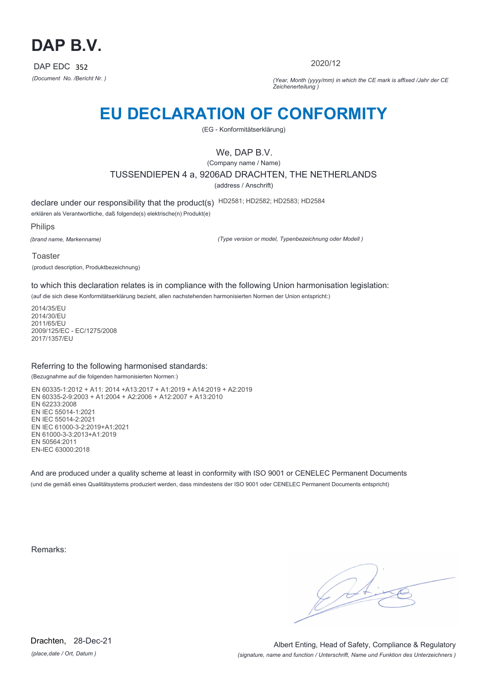

2020/12

*(Document No. /Bericht Nr. ) (Year, Month (yyyy/mm) in which the CE mark is affixed /Jahr der CE Zeichenerteilung )*

# **EU DECLARATION OF CONFORMITY**

(EG - Konformitätserklärung)

## We, DAP B.V.

(Company name / Name) TUSSENDIEPEN 4 a, 9206AD DRACHTEN, THE NETHERLANDS (address / Anschrift)

declare under our responsibility that the product(s) HD2581; HD2582; HD2583; HD2584

erklären als Verantwortliche, daß folgende(s) elektrische(n) Produkt(e)

Philips

*(brand name, Markenname)*

*(Type version or model, Typenbezeichnung oder Modell )*

Toaster (product description, Produktbezeichnung)

to which this declaration relates is in compliance with the following Union harmonisation legislation:

(auf die sich diese Konformitätserklärung bezieht, allen nachstehenden harmonisierten Normen der Union entspricht:)

2014/35/EU 2014/30/EU 2011/65/EU 2009/125/EC - EC/1275/2008 2017/1357/EU

#### Referring to the following harmonised standards:

(Bezugnahme auf die folgenden harmonisierten Normen:)

EN 60335-1:2012 + A11: 2014 +A13:2017 + A1:2019 + A14:2019 + A2:2019 EN 60335-2-9:2003 + A1:2004 + A2:2006 + A12:2007 + A13:2010 EN 62233:2008 EN IEC 55014-1:2021 EN IEC 55014-2:2021 EN IEC 61000-3-2:2019+A1:2021 EN 61000-3-3:2013+A1:2019 EN 50564:2011 EN-IEC 63000:2018

And are produced under a quality scheme at least in conformity with ISO 9001 or CENELEC Permanent Documents (und die gemäß eines Qualitätsystems produziert werden, dass mindestens der ISO 9001 oder CENELEC Permanent Documents entspricht)

Remarks: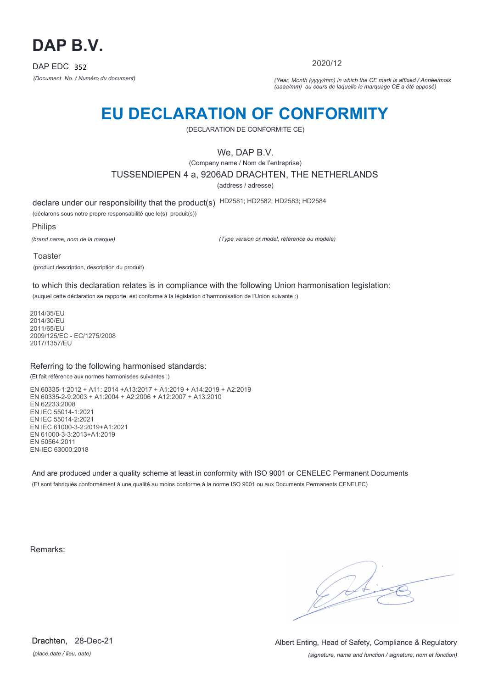

2020/12

*(Document No. / Numéro du document) (Year, Month (yyyy/mm) in which the CE mark is affixed / Année/mois (aaaa/mm) au cours de laquelle le marquage CE a été apposé)*

# **EU DECLARATION OF CONFORMITY**

(DECLARATION DE CONFORMITE CE)

### We, DAP B.V.

(Company name / Nom de l'entreprise) TUSSENDIEPEN 4 a, 9206AD DRACHTEN, THE NETHERLANDS

(address / adresse)

declare under our responsibility that the product(s) HD2581; HD2582; HD2583; HD2584

(déclarons sous notre propre responsabilité que le(s) produit(s))

Philips

*(brand name, nom de la marque)*

*(Type version or model, référence ou modèle)*

Toaster (product description, description du produit)

to which this declaration relates is in compliance with the following Union harmonisation legislation:

(auquel cette déclaration se rapporte, est conforme à la législation d'harmonisation de l'Union suivante :)

2014/35/EU 2014/30/EU 2011/65/EU 2009/125/EC - EC/1275/2008 2017/1357/EU

#### Referring to the following harmonised standards:

(Et fait référence aux normes harmonisées suivantes :)

EN 60335-1:2012 + A11: 2014 +A13:2017 + A1:2019 + A14:2019 + A2:2019 EN 60335-2-9:2003 + A1:2004 + A2:2006 + A12:2007 + A13:2010 EN 62233:2008 EN IEC 55014-1:2021 EN IEC 55014-2:2021 EN IEC 61000-3-2:2019+A1:2021 EN 61000-3-3:2013+A1:2019 EN 50564:2011 EN-IEC 63000:2018

And are produced under a quality scheme at least in conformity with ISO 9001 or CENELEC Permanent Documents (Et sont fabriqués conformément à une qualité au moins conforme à la norme ISO 9001 ou aux Documents Permanents CENELEC)

Remarks:

*(place,date / lieu, date)* Drachten, 28-Dec-21

*(signature, name and function / signature, nom et fonction)* Albert Enting, Head of Safety, Compliance & Regulatory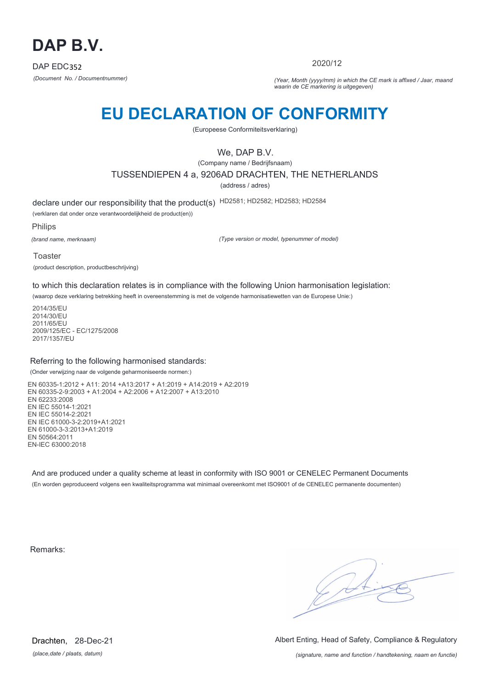

2020/12

*(Document No. / Documentnummer) (Year, Month (yyyy/mm) in which the CE mark is affixed / Jaar, maand waarin de CE markering is uitgegeven)*

# **EU DECLARATION OF CONFORMITY**

(Europeese Conformiteitsverklaring)

## We, DAP B.V.

(Company name / Bedrijfsnaam) TUSSENDIEPEN 4 a, 9206AD DRACHTEN, THE NETHERLANDS

(address / adres)

declare under our responsibility that the product(s) HD2581; HD2582; HD2583; HD2584

(verklaren dat onder onze verantwoordelijkheid de product(en))

Philips

*(brand name, merknaam)*

*(Type version or model, typenummer of model)*

Toaster (product description, productbeschrijving)

to which this declaration relates is in compliance with the following Union harmonisation legislation:

(waarop deze verklaring betrekking heeft in overeenstemming is met de volgende harmonisatiewetten van de Europese Unie:)

2014/35/EU 2014/30/EU 2011/65/EU 2009/125/EC - EC/1275/2008 2017/1357/EU

#### Referring to the following harmonised standards:

(Onder verwijzing naar de volgende geharmoniseerde normen:)

EN 60335-1:2012 + A11: 2014 +A13:2017 + A1:2019 + A14:2019 + A2:2019 EN 60335-2-9:2003 + A1:2004 + A2:2006 + A12:2007 + A13:2010 EN 62233:2008 EN IEC 55014-1:2021 EN IEC 55014-2:2021 EN IEC 61000-3-2:2019+A1:2021 EN 61000-3-3:2013+A1:2019 EN 50564:2011 EN-IEC 63000:2018

And are produced under a quality scheme at least in conformity with ISO 9001 or CENELEC Permanent Documents (En worden geproduceerd volgens een kwaliteitsprogramma wat minimaal overeenkomt met ISO9001 of de CENELEC permanente documenten)

Remarks:

 $\sqrt{4}$ 

*(place,date / plaats, datum)* Drachten, 28-Dec-21 Albert Enting, Head of Safety, Compliance & Regulatory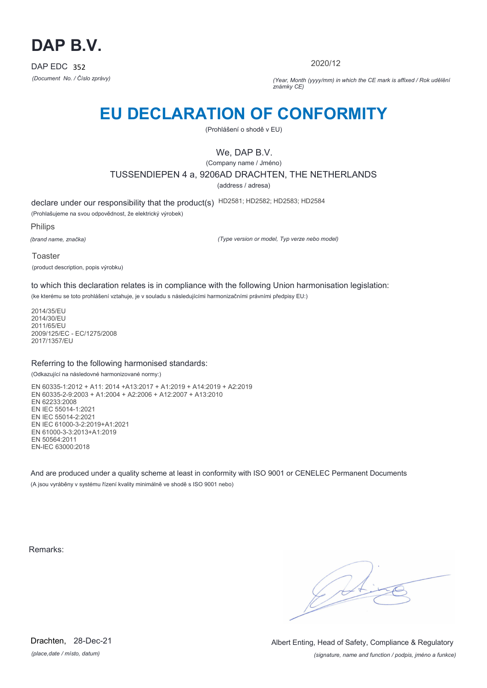

2020/12

*(Document No. / Číslo zprávy) (Year, Month (yyyy/mm) in which the CE mark is affixed / Rok udělění známky CE)*

# **EU DECLARATION OF CONFORMITY**

(Prohlášení o shodě v EU)

## We, DAP B.V.

(Company name / Jméno) TUSSENDIEPEN 4 a, 9206AD DRACHTEN, THE NETHERLANDS (address / adresa)

declare under our responsibility that the product(s) HD2581; HD2582; HD2583; HD2584 (Prohlašujeme na svou odpovědnost, že elektrický výrobek)

Philips

*(brand name, značka)*

*(Type version or model, Typ verze nebo model)*

Toaster (product description, popis výrobku)

to which this declaration relates is in compliance with the following Union harmonisation legislation:

(ke kterému se toto prohlášení vztahuje, je v souladu s následujícími harmonizačními právními předpisy EU:)

2014/35/EU 2014/30/EU 2011/65/EU 2009/125/EC - EC/1275/2008 2017/1357/EU

#### Referring to the following harmonised standards:

(Odkazující na následovné harmonizované normy:)

EN 60335-1:2012 + A11: 2014 +A13:2017 + A1:2019 + A14:2019 + A2:2019 EN 60335-2-9:2003 + A1:2004 + A2:2006 + A12:2007 + A13:2010 EN 62233:2008 EN IEC 55014-1:2021 EN IEC 55014-2:2021 EN IEC 61000-3-2:2019+A1:2021 EN 61000-3-3:2013+A1:2019 EN 50564:2011 EN-IEC 63000:2018

And are produced under a quality scheme at least in conformity with ISO 9001 or CENELEC Permanent Documents (A jsou vyráběny v systému řízení kvality minimálně ve shodě s ISO 9001 nebo)

Remarks:

*(place,date / místo, datum)* Drachten, 28-Dec-21

*(signature, name and function / podpis, jméno a funkce)* Albert Enting, Head of Safety, Compliance & Regulatory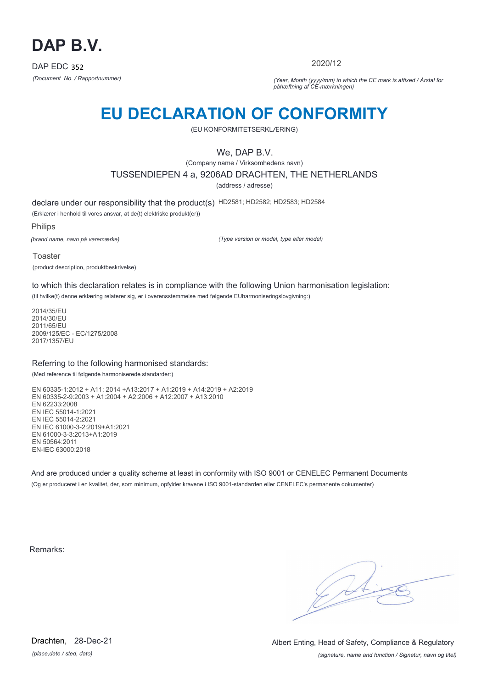

2020/12

*(Document No. / Rapportnummer) (Year, Month (yyyy/mm) in which the CE mark is affixed / Årstal for påhæftning af CE-mærkningen)*

# **EU DECLARATION OF CONFORMITY**

(EU KONFORMITETSERKLÆRING)

### We, DAP B.V.

(Company name / Virksomhedens navn) TUSSENDIEPEN 4 a, 9206AD DRACHTEN, THE NETHERLANDS

(address / adresse)

declare under our responsibility that the product(s) HD2581; HD2582; HD2583; HD2584

(Erklærer i henhold til vores ansvar, at de(t) elektriske produkt(er))

Philips

*(brand name, navn på varemærke)*

*(Type version or model, type eller model)*

Toaster (product description, produktbeskrivelse)

to which this declaration relates is in compliance with the following Union harmonisation legislation:

(til hvilke(t) denne erklæring relaterer sig, er i overensstemmelse med følgende EUharmoniseringslovgivning:)

2014/35/EU 2014/30/EU 2011/65/EU 2009/125/EC - EC/1275/2008 2017/1357/EU

#### Referring to the following harmonised standards:

(Med reference til følgende harmoniserede standarder:)

EN 60335-1:2012 + A11: 2014 +A13:2017 + A1:2019 + A14:2019 + A2:2019 EN 60335-2-9:2003 + A1:2004 + A2:2006 + A12:2007 + A13:2010 EN 62233:2008 EN IEC 55014-1:2021 EN IEC 55014-2:2021 EN IEC 61000-3-2:2019+A1:2021 EN 61000-3-3:2013+A1:2019 EN 50564:2011 EN-IEC 63000:2018

And are produced under a quality scheme at least in conformity with ISO 9001 or CENELEC Permanent Documents (Og er produceret i en kvalitet, der, som minimum, opfylder kravene i ISO 9001-standarden eller CENELEC's permanente dokumenter)

Remarks:

*(place,date / sted, dato)* Drachten, 28-Dec-21

*(signature, name and function / Signatur, navn og titel)* Albert Enting, Head of Safety, Compliance & Regulatory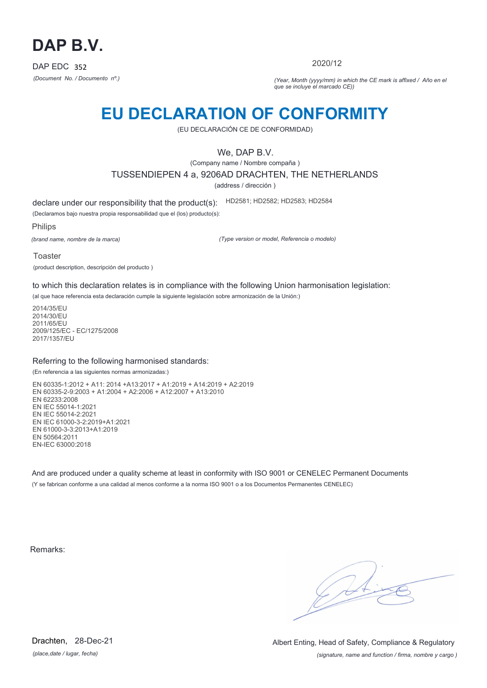

2020/12

*(Document No. / Documento nº.) (Year, Month (yyyy/mm) in which the CE mark is affixed / Año en el que se incluye el marcado CE))*

## **EU DECLARATION OF CONFORMITY**

(EU DECLARACIÓN CE DE CONFORMIDAD)

### We, DAP B.V.

(Company name / Nombre compaña ) TUSSENDIEPEN 4 a, 9206AD DRACHTEN, THE NETHERLANDS

(address / dirección )

declare under our responsibility that the product(s): HD2581; HD2582; HD2583; HD2584

(Declaramos bajo nuestra propia responsabilidad que el (los) producto(s):

Philips

*(brand name, nombre de la marca)*

*(Type version or model, Referencia o modelo)*

Toaster

(product description, descripción del producto )

to which this declaration relates is in compliance with the following Union harmonisation legislation:

(al que hace referencia esta declaración cumple la siguiente legislación sobre armonización de la Unión:)

2014/35/EU 2014/30/EU 2011/65/EU 2009/125/EC - EC/1275/2008 2017/1357/EU

#### Referring to the following harmonised standards:

(En referencia a las siguientes normas armonizadas:)

EN 60335-1:2012 + A11: 2014 +A13:2017 + A1:2019 + A14:2019 + A2:2019 EN 60335-2-9:2003 + A1:2004 + A2:2006 + A12:2007 + A13:2010 EN 62233:2008 EN IEC 55014-1:2021 EN IEC 55014-2:2021 EN IEC 61000-3-2:2019+A1:2021 EN 61000-3-3:2013+A1:2019 EN 50564:2011 EN-IEC 63000:2018

And are produced under a quality scheme at least in conformity with ISO 9001 or CENELEC Permanent Documents (Y se fabrican conforme a una calidad al menos conforme a la norma ISO 9001 o a los Documentos Permanentes CENELEC)

Remarks:

*(place,date / lugar, fecha)* Drachten, 28-Dec-21

*(signature, name and function / firma, nombre y cargo )* Albert Enting, Head of Safety, Compliance & Regulatory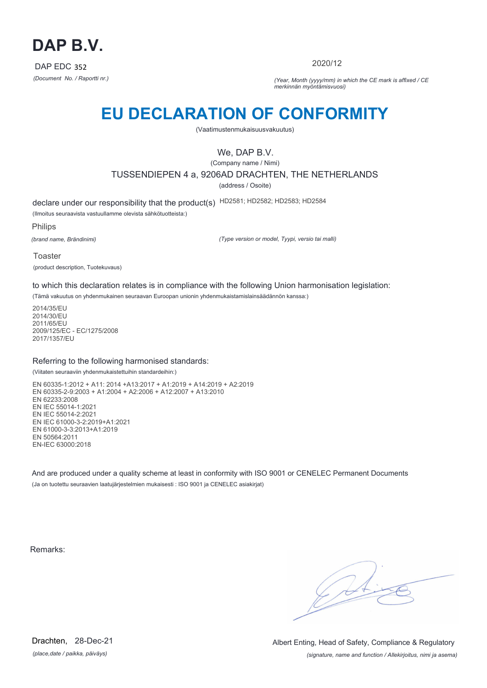

2020/12

*(Document No. / Raportti nr.) (Year, Month (yyyy/mm) in which the CE mark is affixed / CE merkinnän myöntämisvuosi)*

# **EU DECLARATION OF CONFORMITY**

(Vaatimustenmukaisuusvakuutus)

## We, DAP B.V.

(Company name / Nimi) TUSSENDIEPEN 4 a, 9206AD DRACHTEN, THE NETHERLANDS (address / Osoite)

declare under our responsibility that the product(s) HD2581; HD2582; HD2583; HD2584

(Ilmoitus seuraavista vastuullamme olevista sähkötuotteista:)

Philips

*(brand name, Brändinimi)*

*(Type version or model, Tyypi, versio tai malli)*

Toaster (product description, Tuotekuvaus)

to which this declaration relates is in compliance with the following Union harmonisation legislation:

(Tämä vakuutus on yhdenmukainen seuraavan Euroopan unionin yhdenmukaistamislainsäädännön kanssa:)

2014/35/EU 2014/30/EU 2011/65/EU 2009/125/EC - EC/1275/2008 2017/1357/EU

#### Referring to the following harmonised standards:

(Viitaten seuraaviin yhdenmukaistettuihin standardeihin:)

EN 60335-1:2012 + A11: 2014 +A13:2017 + A1:2019 + A14:2019 + A2:2019 EN 60335-2-9:2003 + A1:2004 + A2:2006 + A12:2007 + A13:2010 EN 62233:2008 EN IEC 55014-1:2021 EN IEC 55014-2:2021 EN IEC 61000-3-2:2019+A1:2021 EN 61000-3-3:2013+A1:2019 EN 50564:2011 EN-IEC 63000:2018

And are produced under a quality scheme at least in conformity with ISO 9001 or CENELEC Permanent Documents (Ja on tuotettu seuraavien laatujärjestelmien mukaisesti : ISO 9001 ja CENELEC asiakirjat)

Remarks:

 $\sqrt{11}$ 

*(place,date / paikka, päiväys)* Drachten, 28-Dec-21

*(signature, name and function / Allekirjoitus, nimi ja asema)* Albert Enting, Head of Safety, Compliance & Regulatory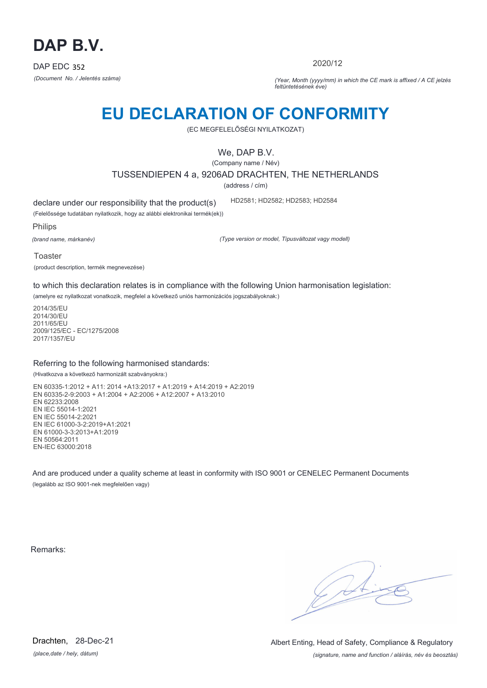

2020/12

*(Document No. / Jelentés száma) (Year, Month (yyyy/mm) in which the CE mark is affixed / A CE jelzés feltüntetésének éve)*

# **EU DECLARATION OF CONFORMITY**

(EC MEGFELELŐSÉGI NYILATKOZAT)

We, DAP B.V.

(Company name / Név)

TUSSENDIEPEN 4 a, 9206AD DRACHTEN, THE NETHERLANDS

(address / cím)

declare under our responsibility that the product(s)

(Felelőssége tudatában nyilatkozik, hogy az alábbi elektronikai termék(ek))

Philips

*(brand name, márkanév)*

*(Type version or model, Típusváltozat vagy modell)*

HD2581; HD2582; HD2583; HD2584

Toaster (product description, termék megnevezése)

to which this declaration relates is in compliance with the following Union harmonisation legislation:

(amelyre ez nyilatkozat vonatkozik, megfelel a következő uniós harmonizációs jogszabályoknak:)

2014/35/EU 2014/30/EU 2011/65/EU 2009/125/EC - EC/1275/2008 2017/1357/EU

#### Referring to the following harmonised standards:

(Hivatkozva a következő harmonizált szabványokra:)

EN 60335-1:2012 + A11: 2014 +A13:2017 + A1:2019 + A14:2019 + A2:2019 EN 60335-2-9:2003 + A1:2004 + A2:2006 + A12:2007 + A13:2010 EN 62233:2008 EN IEC 55014-1:2021 EN IEC 55014-2:2021 EN IEC 61000-3-2:2019+A1:2021 EN 61000-3-3:2013+A1:2019 EN 50564:2011 EN-IEC 63000:2018

And are produced under a quality scheme at least in conformity with ISO 9001 or CENELEC Permanent Documents (legalább az ISO 9001-nek megfelelően vagy)

Remarks:

 $\sqrt{1}$ 

*(place,date / hely, dátum)* Drachten, 28-Dec-21

*(signature, name and function / aláírás, név és beosztás)* Albert Enting, Head of Safety, Compliance & Regulatory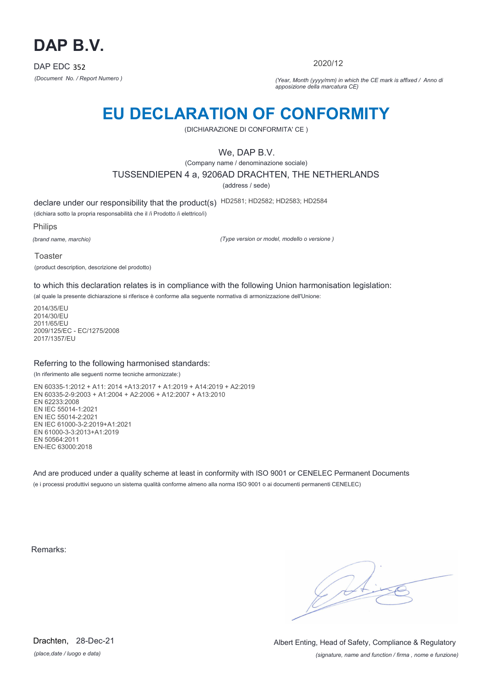

2020/12

*(Document No. / Report Numero ) (Year, Month (yyyy/mm) in which the CE mark is affixed / Anno di apposizione della marcatura CE)*

## **EU DECLARATION OF CONFORMITY**

(DICHIARAZIONE DI CONFORMITA' CE )

### We, DAP B.V.

(Company name / denominazione sociale)

TUSSENDIEPEN 4 a, 9206AD DRACHTEN, THE NETHERLANDS

(address / sede)

declare under our responsibility that the product(s) HD2581; HD2582; HD2583; HD2584

(dichiara sotto la propria responsabilità che il /i Prodotto /i elettrico/i)

Philips

*(brand name, marchio)*

*(Type version or model, modello o versione )*

Toaster

(product description, descrizione del prodotto)

to which this declaration relates is in compliance with the following Union harmonisation legislation:

(al quale la presente dichiarazione si riferisce è conforme alla seguente normativa di armonizzazione dell'Unione:

2014/35/EU 2014/30/EU 2011/65/EU 2009/125/EC - EC/1275/2008 2017/1357/EU

#### Referring to the following harmonised standards:

(In riferimento alle seguenti norme tecniche armonizzate:)

EN 60335-1:2012 + A11: 2014 +A13:2017 + A1:2019 + A14:2019 + A2:2019 EN 60335-2-9:2003 + A1:2004 + A2:2006 + A12:2007 + A13:2010 EN 62233:2008 EN IEC 55014-1:2021 EN IEC 55014-2:2021 EN IEC 61000-3-2:2019+A1:2021 EN 61000-3-3:2013+A1:2019 EN 50564:2011 EN-IEC 63000:2018

And are produced under a quality scheme at least in conformity with ISO 9001 or CENELEC Permanent Documents (e i processi produttivi seguono un sistema qualità conforme almeno alla norma ISO 9001 o ai documenti permanenti CENELEC)

Remarks:

 $\sqrt{4}$ 

*(place,date / luogo e data)* Drachten, 28-Dec-21

*(signature, name and function / firma , nome e funzione)* Albert Enting, Head of Safety, Compliance & Regulatory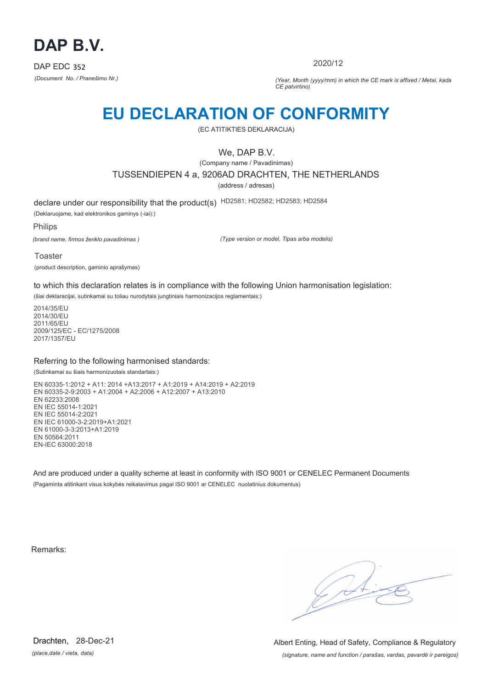

2020/12

*(Document No. / Pranešimo Nr.) (Year, Month (yyyy/mm) in which the CE mark is affixed / Metai, kada CE patvirtino)*

## **EU DECLARATION OF CONFORMITY**

(EC ATITIKTIES DEKLARACIJA)

### We, DAP B.V.

(Company name / Pavadinimas) TUSSENDIEPEN 4 a, 9206AD DRACHTEN, THE NETHERLANDS

(address / adresas)

declare under our responsibility that the product(s) HD2581; HD2582; HD2583; HD2584

(Deklaruojame, kad elektronikos gaminys (-iai):)

Philips

*(brand name, firmos ženklo pavadinimas )*

*(Type version or model, Tipas arba modelis)*

Toaster

(product description, gaminio aprašymas)

to which this declaration relates is in compliance with the following Union harmonisation legislation:

(šiai deklaracijai, sutinkamai su toliau nurodytais jungtiniais harmonizacijos reglamentais:)

2014/35/EU 2014/30/EU 2011/65/EU 2009/125/EC - EC/1275/2008 2017/1357/EU

#### Referring to the following harmonised standards:

(Sutinkamai su šiais harmonizuotais standartais:)

EN 60335-1:2012 + A11: 2014 +A13:2017 + A1:2019 + A14:2019 + A2:2019 EN 60335-2-9:2003 + A1:2004 + A2:2006 + A12:2007 + A13:2010 EN 62233:2008 EN IEC 55014-1:2021 EN IEC 55014-2:2021 EN IEC 61000-3-2:2019+A1:2021 EN 61000-3-3:2013+A1:2019 EN 50564:2011 EN-IEC 63000:2018

And are produced under a quality scheme at least in conformity with ISO 9001 or CENELEC Permanent Documents (Pagaminta atitinkant visus kokybės reikalavimus pagal ISO 9001 ar CENELEC nuolatinius dokumentus)

Remarks:

 $\sqrt{4}$ 

*(place,date / vieta, data)* Drachten, 28-Dec-21

*(signature, name and function / parašas, vardas, pavardė ir pareigos)* Albert Enting, Head of Safety, Compliance & Regulatory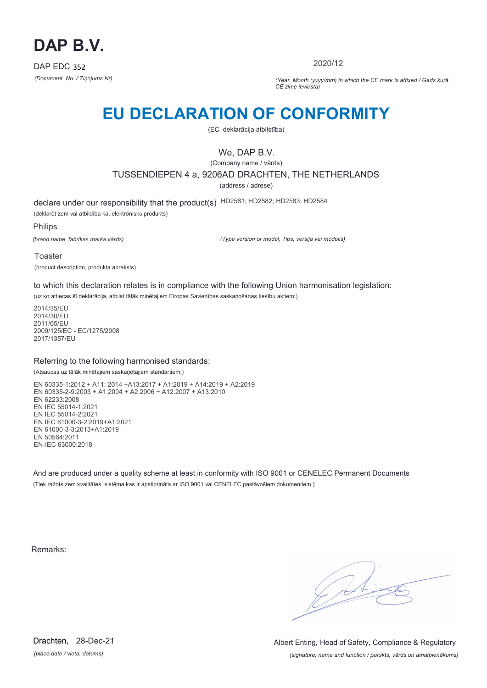

2020/12

*(Document No. / Ziņojums Nr) (Year, Month (yyyy/mm) in which the CE mark is affixed / Gads kurā CE zīme ieviesta)*

# **EU DECLARATION OF CONFORMITY**

(EC deklarācija atbilstība)

### We, DAP B.V.

(Company name / vārds)

TUSSENDIEPEN 4 a, 9206AD DRACHTEN, THE NETHERLANDS

(address / adrese)

declare under our responsibility that the product(s) HD2581; HD2582; HD2583; HD2584

(deklarēt zem vai atbildība ka, elektronisks produkts)

Philips

*(brand name, fabrikas marka vārds)*

*(Type version or model, Tips, versija vai modelis)*

Toaster

(product description, produkta apraksts)

to which this declaration relates is in compliance with the following Union harmonisation legislation:

(uz ko attiecas šī deklarācija, atbilst tālāk minētajiem Eiropas Savienības saskaņošanas tiesību aktiem:)

2014/35/EU 2014/30/EU 2011/65/EU 2009/125/EC - EC/1275/2008 2017/1357/EU

#### Referring to the following harmonised standards:

(Atsaucas uz tālāk minētajiem saskaņotajiem standartiem:)

EN 60335-1:2012 + A11: 2014 +A13:2017 + A1:2019 + A14:2019 + A2:2019 EN 60335-2-9:2003 + A1:2004 + A2:2006 + A12:2007 + A13:2010 EN 62233:2008 EN IEC 55014-1:2021 EN IEC 55014-2:2021 EN IEC 61000-3-2:2019+A1:2021 EN 61000-3-3:2013+A1:2019 EN 50564:2011 EN-IEC 63000:2018

And are produced under a quality scheme at least in conformity with ISO 9001 or CENELEC Permanent Documents (Tiek ražots zem kvalitātes sistēma kas ir apstiprināta ar ISO 9001 vai CENELEC pastāvošiem dokumentiem )

Remarks:

 $\sqrt{4}$ 

*(place,date / vieta, datums)* Drachten, 28-Dec-21

*(signature, name and function / parskts, vārds un amatpienākums)* Albert Enting, Head of Safety, Compliance & Regulatory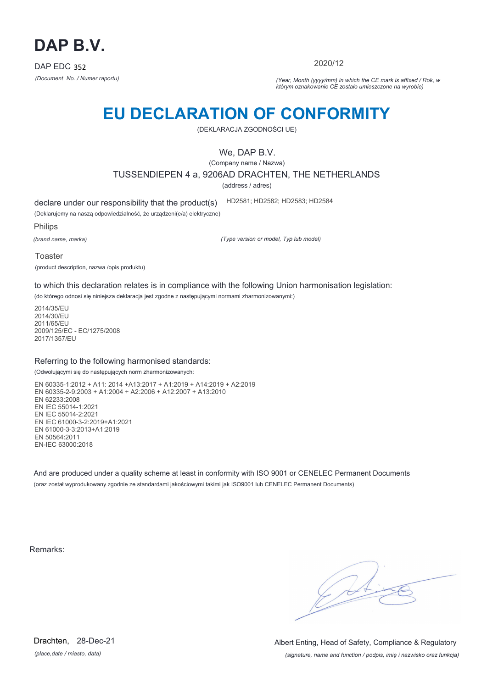

2020/12

*(Document No. / Numer raportu) (Year, Month (yyyy/mm) in which the CE mark is affixed / Rok, w którym oznakowanie CE zostało umieszczone na wyrobie)*

# **EU DECLARATION OF CONFORMITY**

(DEKLARACJA ZGODNOŚCI UE)

We, DAP B.V.

(Company name / Nazwa)

TUSSENDIEPEN 4 a, 9206AD DRACHTEN, THE NETHERLANDS

(address / adres)

declare under our responsibility that the product(s)

(Deklarujemy na naszą odpowiedzialność, że urządzeni(e/a) elektryczne) HD2581; HD2582; HD2583; HD2584

Philips

*(brand name, marka)*

*(Type version or model, Typ lub model)*

Toaster

(product description, nazwa /opis produktu)

to which this declaration relates is in compliance with the following Union harmonisation legislation:

(do którego odnosi się niniejsza deklaracja jest zgodne z następującymi normami zharmonizowanymi:)

2014/35/EU 2014/30/EU 2011/65/EU 2009/125/EC - EC/1275/2008 2017/1357/EU

#### Referring to the following harmonised standards:

(Odwołującymi się do następujących norm zharmonizowanych:

EN 60335-1:2012 + A11: 2014 +A13:2017 + A1:2019 + A14:2019 + A2:2019 EN 60335-2-9:2003 + A1:2004 + A2:2006 + A12:2007 + A13:2010 EN 62233:2008 EN IEC 55014-1:2021 EN IEC 55014-2:2021 EN IEC 61000-3-2:2019+A1:2021 EN 61000-3-3:2013+A1:2019 EN 50564:2011 EN-IEC 63000:2018

And are produced under a quality scheme at least in conformity with ISO 9001 or CENELEC Permanent Documents (oraz został wyprodukowany zgodnie ze standardami jakościowymi takimi jak ISO9001 lub CENELEC Permanent Documents)

Remarks:

*(place,date / miasto, data)* Drachten, 28-Dec-21

*(signature, name and function / podpis, imię i nazwisko oraz funkcja)* Albert Enting, Head of Safety, Compliance & Regulatory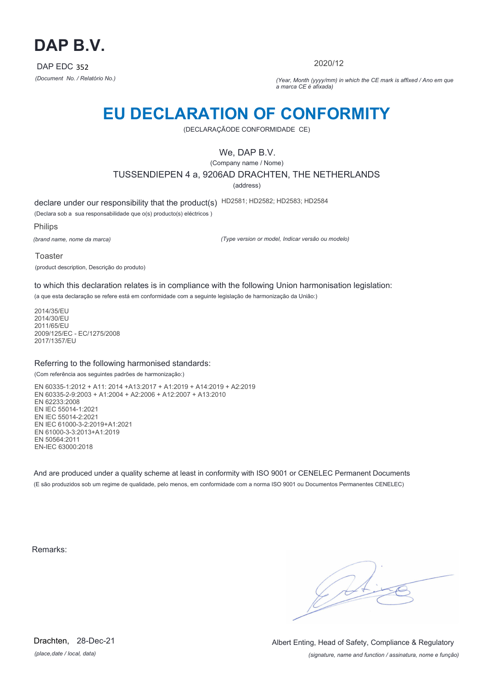

2020/12

*(Document No. / Relatório No.) (Year, Month (yyyy/mm) in which the CE mark is affixed / Ano em que a marca CE é afixada)*

## **EU DECLARATION OF CONFORMITY**

(DECLARAÇÃODE CONFORMIDADE CE)

### We, DAP B.V.

(Company name / Nome) TUSSENDIEPEN 4 a, 9206AD DRACHTEN, THE NETHERLANDS

(address)

declare under our responsibility that the product(s) HD2581; HD2582; HD2583; HD2584

(Declara sob a sua responsabilidade que o(s) producto(s) eléctricos )

Philips

*(brand name, nome da marca)*

*(Type version or model, Indicar versão ou modelo)*

Toaster (product description, Descrição do produto)

to which this declaration relates is in compliance with the following Union harmonisation legislation:

(a que esta declaração se refere está em conformidade com a seguinte legislação de harmonização da União:)

2014/35/EU 2014/30/EU 2011/65/EU 2009/125/EC - EC/1275/2008 2017/1357/EU

#### Referring to the following harmonised standards:

(Com referência aos seguintes padrões de harmonização:)

EN 60335-1:2012 + A11: 2014 +A13:2017 + A1:2019 + A14:2019 + A2:2019 EN 60335-2-9:2003 + A1:2004 + A2:2006 + A12:2007 + A13:2010 EN 62233:2008 EN IEC 55014-1:2021 EN IEC 55014-2:2021 EN IEC 61000-3-2:2019+A1:2021 EN 61000-3-3:2013+A1:2019 EN 50564:2011 EN-IEC 63000:2018

And are produced under a quality scheme at least in conformity with ISO 9001 or CENELEC Permanent Documents (E são produzidos sob um regime de qualidade, pelo menos, em conformidade com a norma ISO 9001 ou Documentos Permanentes CENELEC)

Remarks:

*(place,date / local, data)* Drachten, 28-Dec-21

*(signature, name and function / assinatura, nome e função)* Albert Enting, Head of Safety, Compliance & Regulatory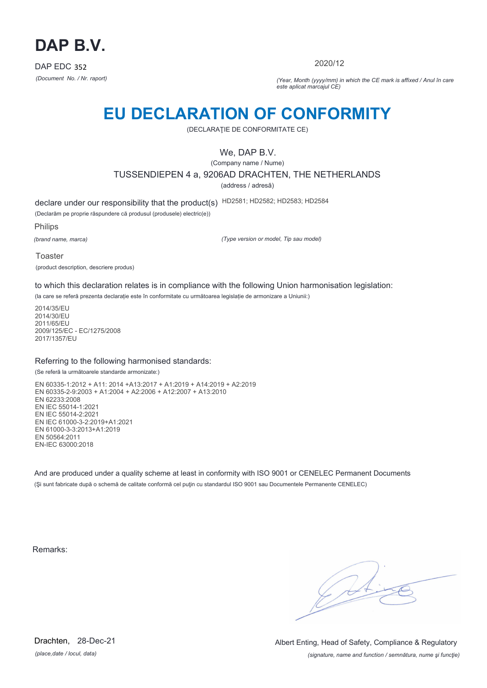

2020/12

*(Document No. / Nr. raport) (Year, Month (yyyy/mm) in which the CE mark is affixed / Anul în care este aplicat marcajul CE)*

## **EU DECLARATION OF CONFORMITY**

(DECLARAŢIE DE CONFORMITATE CE)

### We, DAP B.V.

(Company name / Nume)

TUSSENDIEPEN 4 a, 9206AD DRACHTEN, THE NETHERLANDS

(address / adresă)

declare under our responsibility that the product(s) HD2581; HD2582; HD2583; HD2584

(Declarăm pe proprie răspundere că produsul (produsele) electric(e))

Philips

*(brand name, marca)*

*(Type version or model, Tip sau model)*

Toaster (product description, descriere produs)

to which this declaration relates is in compliance with the following Union harmonisation legislation:

(la care se referă prezenta declarație este în conformitate cu următoarea legislație de armonizare a Uniunii:)

2014/35/EU 2014/30/EU 2011/65/EU 2009/125/EC - EC/1275/2008 2017/1357/EU

#### Referring to the following harmonised standards:

(Se referă la următoarele standarde armonizate:)

EN 60335-1:2012 + A11: 2014 +A13:2017 + A1:2019 + A14:2019 + A2:2019 EN 60335-2-9:2003 + A1:2004 + A2:2006 + A12:2007 + A13:2010 EN 62233:2008 EN IEC 55014-1:2021 EN IEC 55014-2:2021 EN IEC 61000-3-2:2019+A1:2021 EN 61000-3-3:2013+A1:2019 EN 50564:2011 EN-IEC 63000:2018

And are produced under a quality scheme at least in conformity with ISO 9001 or CENELEC Permanent Documents (Şi sunt fabricate după o schemă de calitate conformă cel puţin cu standardul ISO 9001 sau Documentele Permanente CENELEC)

Remarks:

*(place,date / locul, data)* Drachten, 28-Dec-21

*(signature, name and function / semnătura, nume şi funcţie)* Albert Enting, Head of Safety, Compliance & Regulatory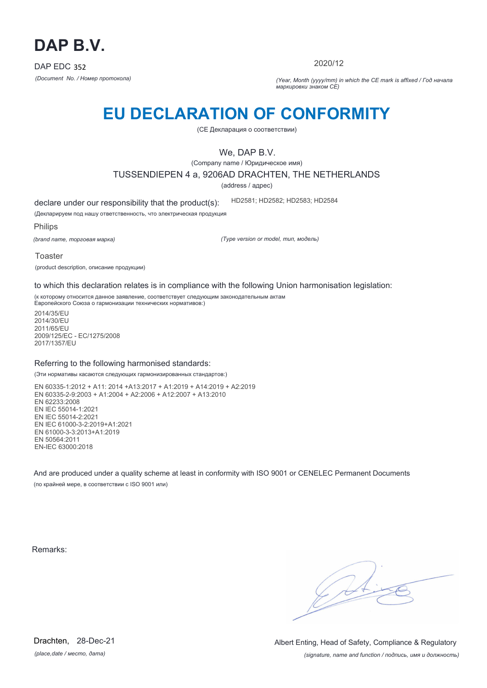

2020/12

*(Document No. / Номер протокола) (Year, Month (yyyy/mm) in which the CE mark is affixed / Год начала маркировки знаком CE)*

# **EU DECLARATION OF CONFORMITY**

(CE Декларация о соответствии)

We, DAP B.V.

(Company name / Юридическое имя)

TUSSENDIEPEN 4 a, 9206AD DRACHTEN, THE NETHERLANDS

(address / адрес)

declare under our responsibility that the product(s): HD2581; HD2582; HD2583; HD2584

(Декларируем под нашу ответственность, что электрическая продукция

Philips

*(brand name, торговая марка)*

*(Type version or model, тип, модель)*

Toaster

(product description, описание продукции)

to which this declaration relates is in compliance with the following Union harmonisation legislation:

(к которому относится данное заявление, соответствует следующим законодательным актам Европейского Союза о гармонизации технических нормативов:)

2014/35/EU 2014/30/EU 2011/65/EU 2009/125/EC - EC/1275/2008 2017/1357/EU

#### Referring to the following harmonised standards:

(Эти нормативы касаются следующих гармонизированных стандартов:)

EN 60335-1:2012 + A11: 2014 +A13:2017 + A1:2019 + A14:2019 + A2:2019 EN 60335-2-9:2003 + A1:2004 + A2:2006 + A12:2007 + A13:2010 EN 62233:2008 EN IEC 55014-1:2021 EN IEC 55014-2:2021 EN IEC 61000-3-2:2019+A1:2021 EN 61000-3-3:2013+A1:2019 EN 50564:2011 EN-IEC 63000:2018

And are produced under a quality scheme at least in conformity with ISO 9001 or CENELEC Permanent Documents (по крайней мере, в соответствии с ISO 9001 или)

Remarks:

 $\sqrt{4}$ 

*(place,date / место, дата)* Drachten, 28-Dec-21

*(signature, name and function / подпись, имя и должность)* Albert Enting, Head of Safety, Compliance & Regulatory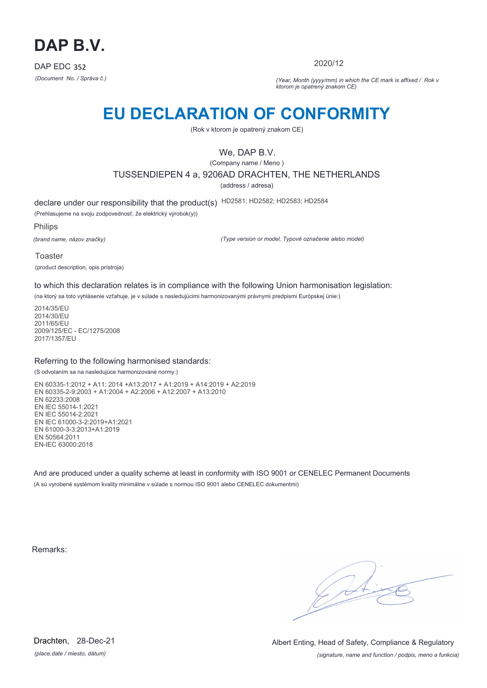

2020/12

*(Document No. / Správa č.) (Year, Month (yyyy/mm) in which the CE mark is affixed / Rok v ktorom je opatrený znakom CE)*

## **EU DECLARATION OF CONFORMITY**

(Rok v ktorom je opatrený znakom CE)

### We, DAP B.V.

(Company name / Meno )

TUSSENDIEPEN 4 a, 9206AD DRACHTEN, THE NETHERLANDS

(address / adresa)

declare under our responsibility that the product(s) HD2581; HD2582; HD2583; HD2584

(Prehlasujeme na svoju zodpovednosť, že elektrický výrobok(y))

Philips

*(brand name, názov značky)*

*(Type version or model, Typové označenie alebo model)*

Toaster (product description, opis prístroja)

to which this declaration relates is in compliance with the following Union harmonisation legislation:

(na ktorý sa toto vyhlásenie vzťahuje, je v súlade s nasledujúcimi harmonizovanými právnymi predpismi Európskej únie:)

2014/35/EU 2014/30/EU 2011/65/EU 2009/125/EC - EC/1275/2008 2017/1357/EU

#### Referring to the following harmonised standards:

(S odvolaním sa na nasledujúce harmonizované normy:)

EN 60335-1:2012 + A11: 2014 +A13:2017 + A1:2019 + A14:2019 + A2:2019 EN 60335-2-9:2003 + A1:2004 + A2:2006 + A12:2007 + A13:2010 EN 62233:2008 EN IEC 55014-1:2021 EN IEC 55014-2:2021 EN IEC 61000-3-2:2019+A1:2021 EN 61000-3-3:2013+A1:2019 EN 50564:2011 EN-IEC 63000:2018

And are produced under a quality scheme at least in conformity with ISO 9001 or CENELEC Permanent Documents (A sú vyrobené systémom kvality minimálne v súlade s normou ISO 9001 alebo CENELEC dokumentmi)

Remarks:

 $\sqrt{11}$ 

*(place,date / miesto, dátum)* Drachten, 28-Dec-21

*(signature, name and function / podpis, meno a funkcia)* Albert Enting, Head of Safety, Compliance & Regulatory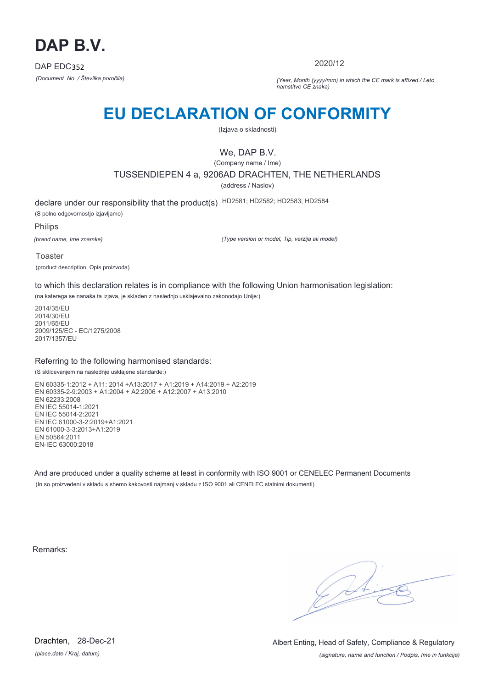

2020/12

*(Document No. / Številka poročila) (Year, Month (yyyy/mm) in which the CE mark is affixed / Leto namstitve CE znaka)*

# **EU DECLARATION OF CONFORMITY**

(Izjava o skladnosti)

## We, DAP B.V.

(Company name / Ime)

TUSSENDIEPEN 4 a, 9206AD DRACHTEN, THE NETHERLANDS

(address / Naslov)

declare under our responsibility that the product(s) HD2581; HD2582; HD2583; HD2584 (S polno odgovornostjo izjavljamo)

Philips

*(brand name, Ime znamke)*

*(Type version or model, Tip, verzija ali model)*

Toaster (product description, Opis proizvoda)

to which this declaration relates is in compliance with the following Union harmonisation legislation:

(na katerega se nanaša ta izjava, je skladen z naslednjo usklajevalno zakonodajo Unije:)

2014/35/EU 2014/30/EU 2011/65/EU 2009/125/EC - EC/1275/2008 2017/1357/EU

#### Referring to the following harmonised standards:

(S sklicevanjem na naslednje usklajene standarde:)

EN 60335-1:2012 + A11: 2014 +A13:2017 + A1:2019 + A14:2019 + A2:2019 EN 60335-2-9:2003 + A1:2004 + A2:2006 + A12:2007 + A13:2010 EN 62233:2008 EN IEC 55014-1:2021 EN IEC 55014-2:2021 EN IEC 61000-3-2:2019+A1:2021 EN 61000-3-3:2013+A1:2019 EN 50564:2011 EN-IEC 63000:2018

And are produced under a quality scheme at least in conformity with ISO 9001 or CENELEC Permanent Documents (In so proizvedeni v skladu s shemo kakovosti najmanj v skladu z ISO 9001 ali CENELEC stalnimi dokumenti)

Remarks:

*(place,date / Kraj, datum)* Drachten, 28-Dec-21

*(signature, name and function / Podpis, Ime in funkcija)* Albert Enting, Head of Safety, Compliance & Regulatory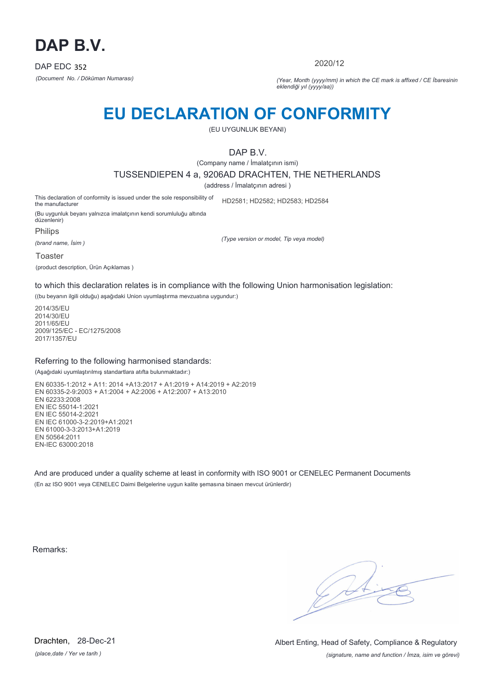

2020/12

*(Document No. / Döküman Numarası) (Year, Month (yyyy/mm) in which the CE mark is affixed / CE İbaresinin eklendiği yıl (yyyy/aa))*

# **EU DECLARATION OF CONFORMITY**

(EU UYGUNLUK BEYANI)

DAP B.V.

(Company name / İmalatçının ismi)

TUSSENDIEPEN 4 a, 9206AD DRACHTEN, THE NETHERLANDS

(address / İmalatçının adresi )

This declaration of conformity is issued under the sole responsibility of the manufacturer HD2581; HD2582; HD2583; HD2584

(Bu uygunluk beyanı yalnızca imalatçının kendi sorumluluğu altında düzenlenir)

Philips

*(brand name, İsim )*

*(Type version or model, Tip veya model)*

Toaster

(product description, Ürün Açıklamas )

to which this declaration relates is in compliance with the following Union harmonisation legislation:

((bu beyanın ilgili olduğu) aşağıdaki Union uyumlaştırma mevzuatına uygundur:)

2014/35/EU 2014/30/EU 2011/65/EU 2009/125/EC - EC/1275/2008 2017/1357/EU

#### Referring to the following harmonised standards:

(Aşağıdaki uyumlaştırılmış standartlara atıfta bulunmaktadır:)

EN 60335-1:2012 + A11: 2014 +A13:2017 + A1:2019 + A14:2019 + A2:2019 EN 60335-2-9:2003 + A1:2004 + A2:2006 + A12:2007 + A13:2010 EN 62233:2008 EN IEC 55014-1:2021 EN IEC 55014-2:2021 EN IEC 61000-3-2:2019+A1:2021 EN 61000-3-3:2013+A1:2019 EN 50564:2011 EN-IEC 63000:2018

And are produced under a quality scheme at least in conformity with ISO 9001 or CENELEC Permanent Documents (En az ISO 9001 veya CENELEC Daimi Belgelerine uygun kalite şemasına binaen mevcut ürünlerdir)

Remarks:

*(place,date / Yer ve tarih )* Drachten, 28-Dec-21

*(signature, name and function / İmza, isim ve görevi)* Albert Enting, Head of Safety, Compliance & Regulatory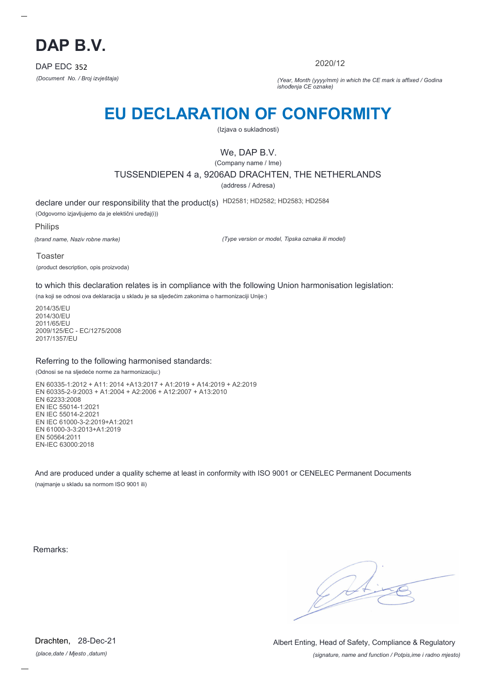

2020/12

*(Document No. / Broj izvještaja) (Year, Month (yyyy/mm) in which the CE mark is affixed / Godina ishođenja CE oznake)*

# **EU DECLARATION OF CONFORMITY**

(Izjava o sukladnosti)

## We, DAP B.V.

(Company name / Ime) TUSSENDIEPEN 4 a, 9206AD DRACHTEN, THE NETHERLANDS

(address / Adresa)

declare under our responsibility that the product(s) HD2581; HD2582; HD2583; HD2584

(Odgovorno izjavljujemo da je elektični uređaj(i))

Philips

*(brand name, Naziv robne marke)*

*(Type version or model, Tipska oznaka ili model)*

Toaster (product description, opis proizvoda)

to which this declaration relates is in compliance with the following Union harmonisation legislation:

(na koji se odnosi ova deklaracija u skladu je sa sljedećim zakonima o harmonizaciji Unije:)

2014/35/EU 2014/30/EU 2011/65/EU 2009/125/EC - EC/1275/2008 2017/1357/EU

#### Referring to the following harmonised standards:

(Odnosi se na sljedeće norme za harmonizaciju:)

EN 60335-1:2012 + A11: 2014 +A13:2017 + A1:2019 + A14:2019 + A2:2019 EN 60335-2-9:2003 + A1:2004 + A2:2006 + A12:2007 + A13:2010 EN 62233:2008 EN IEC 55014-1:2021 EN IEC 55014-2:2021 EN IEC 61000-3-2:2019+A1:2021 EN 61000-3-3:2013+A1:2019 EN 50564:2011 EN-IEC 63000:2018

And are produced under a quality scheme at least in conformity with ISO 9001 or CENELEC Permanent Documents (najmanje u skladu sa normom ISO 9001 ili)

Remarks:

*(place,date / Mjesto ,datum)* Drachten, 28-Dec-21

*(signature, name and function / Potpis,ime i radno mjesto)* Albert Enting, Head of Safety, Compliance & Regulatory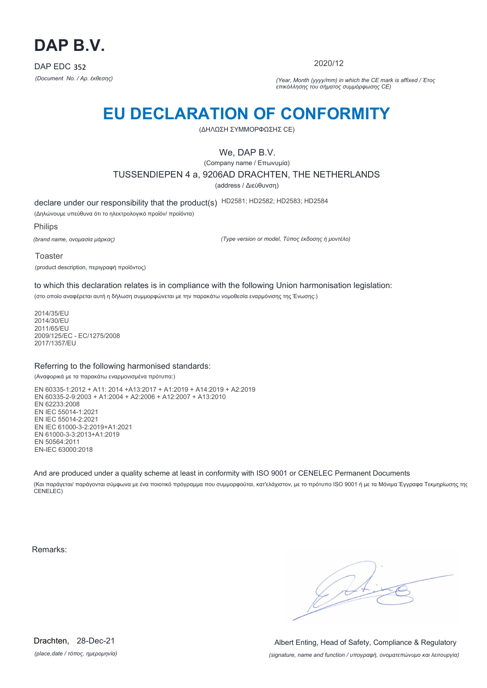

2020/12

*(Document No. / Αρ. έκθεσης) (Year, Month (yyyy/mm) in which the CE mark is affixed / Έτος επικόλλησης του σήματος συμμόρφωσης CE)*

# **EU DECLARATION OF CONFORMITY**

(ΔΗΛΩΣΗ ΣΥΜΜΟΡΦΩΣΗΣ CE)

We, DAP B.V.

(Company name / Επωνυμία) TUSSENDIEPEN 4 a, 9206AD DRACHTEN, THE NETHERLANDS (address / Διεύθυνση)

declare under our responsibility that the product(s) HD2581; HD2582; HD2583; HD2584

(Δηλώνουμε υπεύθυνα ότι το ηλεκτρολογικό προϊόν/ προϊόντα)

Philips

*(brand name, ονομασία μάρκας)*

*(Type version or model, Τύπος έκδοσης ή μοντέλο)*

Toaster

(product description, περιγραφή προϊόντος)

to which this declaration relates is in compliance with the following Union harmonisation legislation:

(στο οποίο αναφέρεται αυτή η δήλωση συμμορφώνεται με την παρακάτω νομοθεσία εναρμόνισης της Ένωσης:)

2014/35/EU 2014/30/EU 2011/65/EU 2009/125/EC - EC/1275/2008 2017/1357/EU

#### Referring to the following harmonised standards:

(Αναφορικά με τα παρακάτω εναρμονισμένα πρότυπα:)

EN 60335-1:2012 + A11: 2014 +A13:2017 + A1:2019 + A14:2019 + A2:2019 EN 60335-2-9:2003 + A1:2004 + A2:2006 + A12:2007 + A13:2010 EN 62233:2008 EN IEC 55014-1:2021 EN IEC 55014-2:2021 EN IEC 61000-3-2:2019+A1:2021 EN 61000-3-3:2013+A1:2019 EN 50564:2011 EN-IEC 63000:2018

And are produced under a quality scheme at least in conformity with ISO 9001 or CENELEC Permanent Documents

(Και παράγεται/ παράγονται σύμφωνα με ένα ποιοτικό πρόγραμμα που συμμορφούται, κατ'ελάχιστον, με το πρότυπο ISO 9001 ή με τα Μόνιμα Έγγραφα Τεκμηρίωσης της CENELEC)

Remarks:

 $\sqrt{11}$ 

*(place,date / τόπος, ημερομηνία)* Drachten, 28-Dec-21

*(signature, name and function / υπογραφή, ονοματεπώνυμο και λειτουργία)* Albert Enting, Head of Safety, Compliance & Regulatory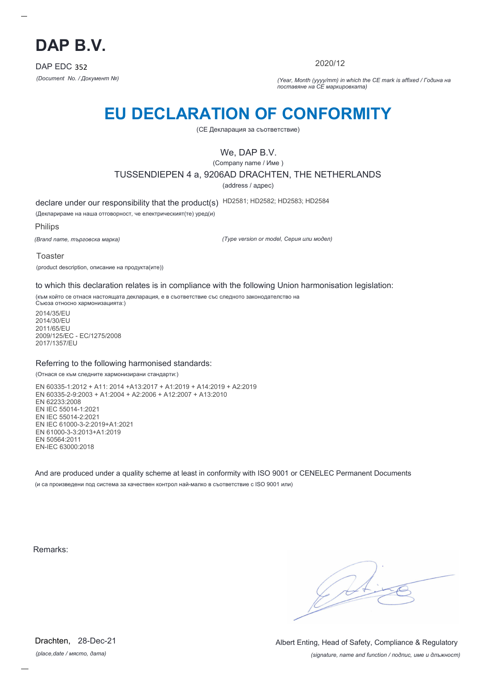

2020/12

*(Document No. / Документ №) (Year, Month (yyyy/mm) in which the CE mark is affixed / Година на поставяне на CE маркировката)*

# **EU DECLARATION OF CONFORMITY**

(CE Декларация за съответствие)

## We, DAP B.V.

(Company name / Име )

TUSSENDIEPEN 4 a, 9206AD DRACHTEN, THE NETHERLANDS

(address / адрес)

declare under our responsibility that the product(s) HD2581; HD2582; HD2583; HD2584

(Декларираме на наша отговорност, че електрическият(те) уред(и)

Philips

*(Brand name, търговска марка)*

*(Type version or model, Серия или модел)*

Toaster

(product description, описание на продукта(ите))

to which this declaration relates is in compliance with the following Union harmonisation legislation:

(към който се отнася настоящата декларация, е в съответствие със следното законодателство на Съюза относно хармонизацията:)

2014/35/EU 2014/30/EU 2011/65/EU 2009/125/EC - EC/1275/2008 2017/1357/EU

#### Referring to the following harmonised standards:

(Отнася се към следните хармонизирани стандарти:)

EN 60335-1:2012 + A11: 2014 +A13:2017 + A1:2019 + A14:2019 + A2:2019 EN 60335-2-9:2003 + A1:2004 + A2:2006 + A12:2007 + A13:2010 EN 62233:2008 EN IEC 55014-1:2021 EN IEC 55014-2:2021 EN IEC 61000-3-2:2019+A1:2021 EN 61000-3-3:2013+A1:2019 EN 50564:2011 EN-IEC 63000:2018

And are produced under a quality scheme at least in conformity with ISO 9001 or CENELEC Permanent Documents (и са произведени под система за качествен контрол най-малко в съответствие с ISO 9001 или)

Remarks:

*(place,date / място, дата)* Drachten, 28-Dec-21

*(signature, name and function / подпис, име и длъжност)* Albert Enting, Head of Safety, Compliance & Regulatory